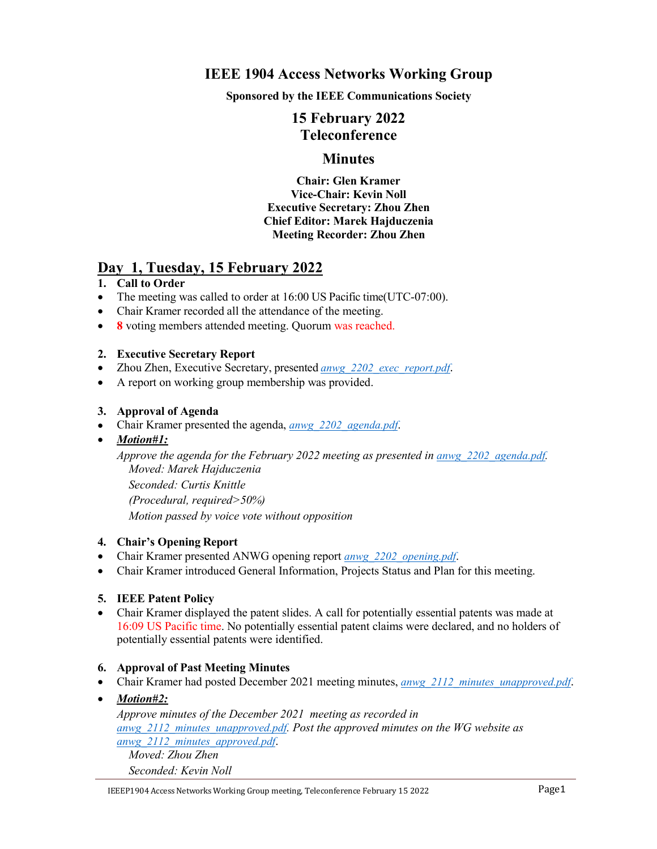## **IEEE 1904 Access Networks Working Group**

**Sponsored by the IEEE Communications Society**

# **15 February 2022 Teleconference**

## **Minutes**

**Chair: Glen Kramer Vice-Chair: Kevin Noll Executive Secretary: Zhou Zhen Chief Editor: Marek Hajduczenia Meeting Recorder: Zhou Zhen**

## **Day 1, Tuesday, 15 February 2022**

## **1. Call to Order**

- The meeting was called to order at 16:00 US Pacific time(UTC-07:00).
- Chair Kramer recorded all the attendance of the meeting.
- **8** voting members attended meeting. Quorum was reached.

## **2. Executive Secretary Report**

- Zhou Zhen, Executive Secretary, presented *[anwg\\_2202\\_exec\\_report.pdf](https://www.ieee1904.org/meeting_archive/2022/02/anwg_2202_exec_report.pdf)*.
- A report on working group membership was provided.

## **3. Approval of Agenda**

- Chair Kramer presented the agenda,*[anwg\\_2202\\_agenda.pdf](https://www.ieee1904.org/meeting_archive/2022/02/anwg_2202_agenda.pdf)*.
- *Motion#1:*

*Approve the agenda for the February 2022 meeting as presented in [anwg\\_2202\\_agenda.pdf](https://www.ieee1904.org/meeting_archive/2022/02/anwg_2202_agenda.pdf). Moved: Marek Hajduczenia Seconded: Curtis Knittle (Procedural, required>50%) Motion passed by voice vote without opposition*

#### **4. Chair's Opening Report**

- Chair Kramer presented ANWG opening report *[anwg\\_2202\\_opening.pdf](https://www.ieee1904.org/meeting_archive/2022/02/anwg_2202_opening.pdf)*.
- Chair Kramer introduced General Information, Projects Status and Plan for this meeting.

## **5. IEEE Patent Policy**

 Chair Kramer displayed the patent slides. A call for potentially essential patents was made at 16:09 US Pacific time. No potentially essential patent claims were declared, and no holders of potentially essential patents were identified.

#### **6. Approval of Past Meeting Minutes**

- Chair Kramer had posted December 2021 meeting minutes, *anwg* 2112 minutes unapproved.pdf.
- *Motion#2:*

*Approve minutes of the December 2021 meeting as recorded in [anwg\\_2112\\_minutes\\_unapproved.pdf](https://www.ieee1904.org/meeting_archive/2021/12/anwg_2112_minutes_unapproved.pdf). Post the approved minutes on the WG website as [anwg\\_2112\\_minutes\\_approved.pdf](https://www.ieee1904.org/meeting_archive/2022/02/anwg_2112_minutes_approved.pdf)*. *Moved: Zhou Zhen*

*Seconded: Kevin Noll*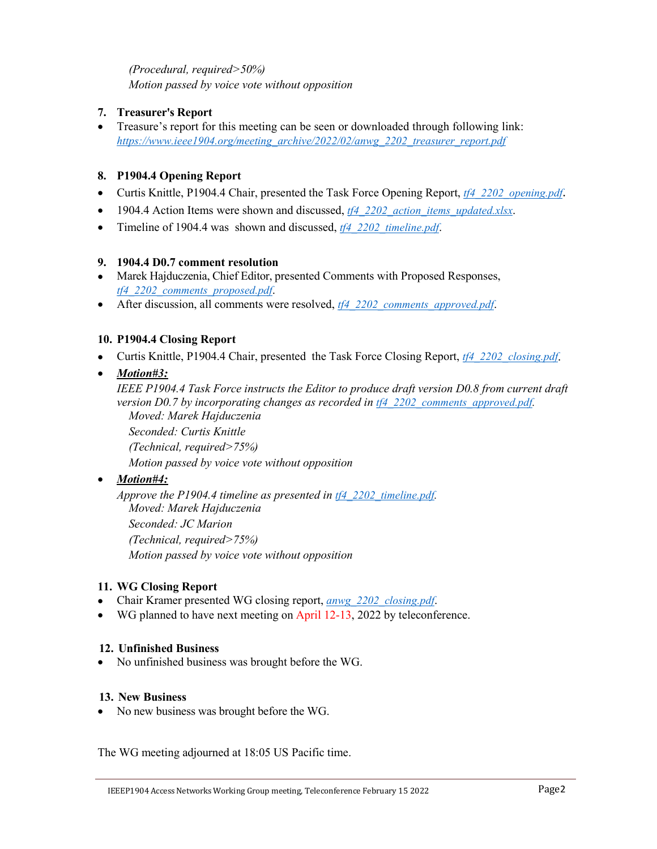## *(Procedural, required>50%) Motion passed by voice vote without opposition*

## **7. Treasurer's Report**

 Treasure's report for this meeting can be seen or downloaded through following link: *[https://www.ieee1904.org/meeting\\_archive/2022/02/anwg\\_2202\\_treasurer\\_report.pdf](https://www.ieee1904.org/meeting_archive/2022/02/anwg_2202_treasurer_report.pdf)*

## **8. P1904.4 Opening Report**

- Curtis Knittle, P1904.4 Chair, presented the Task Force Opening Report, *[tf4\\_2202\\_opening.pdf](https://www.ieee1904.org/4/meeting_archive/2022/02/tf4_2202_opening.pdf)*.
- 1904.4 Action Items were shown and discussed, *tf4* 2202 *action items updated.xlsx*.
- Timeline of 1904.4 was shown and discussed, *[tf4\\_2202\\_timeline.pdf](https://www.ieee1904.org/4/meeting_archive/2022/02/tf4_2202_timeline.pdf)*.

## **9. 1904.4 D0.7 comment resolution**

- Marek Hajduczenia, Chief Editor, presented Comments with Proposed Responses, *[tf4\\_2202\\_comments\\_proposed.pdf](https://www.ieee1904.org/4/meeting_archive/2022/02/tf4_2202_comments_proposed.pdf)*.
- After discussion, all comments were resolved, *[tf4\\_2202\\_comments\\_approved.pdf](https://www.ieee1904.org/4/meeting_archive/2022/02/tf4_2202_comments_approved.pdf)*.

## **10. P1904.4 Closing Report**

- Curtis Knittle, P1904.4 Chair, presented the Task Force Closing Report, *[tf4\\_2202\\_closing.pdf](https://www.ieee1904.org/4/meeting_archive/2022/02/tf4_2202_closing.pdf)*.
- *Motion#3:*

*IEEE P1904.4 Task Force instructs the Editor to produce draft version D0.8 from current draft version D0.7 by incorporating changes as recorded in [tf4\\_2202\\_comments\\_approved.pdf](https://www.ieee1904.org/4/meeting_archive/2022/02/tf4_2202_comments_approved.pdf). Moved: Marek Hajduczenia*

*Seconded: Curtis Knittle*

*(Technical, required>75%)*

*Motion passed by voice vote without opposition*

## *Motion#4:*

*Approve the P1904.4 timeline as presented in [tf4\\_2202\\_timeline.pdf](https://www.ieee1904.org/4/meeting_archive/2022/02/tf4_2202_timeline.pdf). Moved: Marek Hajduczenia Seconded: JC Marion (Technical, required>75%) Motion passed by voice vote without opposition*

#### **11. WG Closing Report**

- Chair Kramer presented WG closing report, *[anwg\\_2202\\_closing.pdf](https://www.ieee1904.org/meeting_archive/2022/02/anwg_2202_closing.pdf)*.
- WG planned to have next meeting on April 12-13, 2022 by teleconference.

#### **12. Unfinished Business**

No unfinished business was brought before the WG.

#### **13. New Business**

• No new business was brought before the WG.

The WG meeting adjourned at 18:05 US Pacific time.